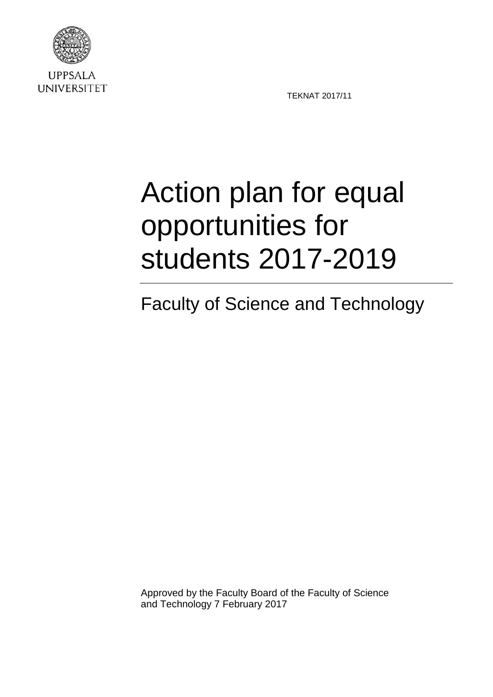

**UPPSALA UNIVERSITET** 

TEKNAT 2017/11

# Action plan for equal opportunities for students 2017-2019

## Faculty of Science and Technology

Approved by the Faculty Board of the Faculty of Science and Technology 7 February 2017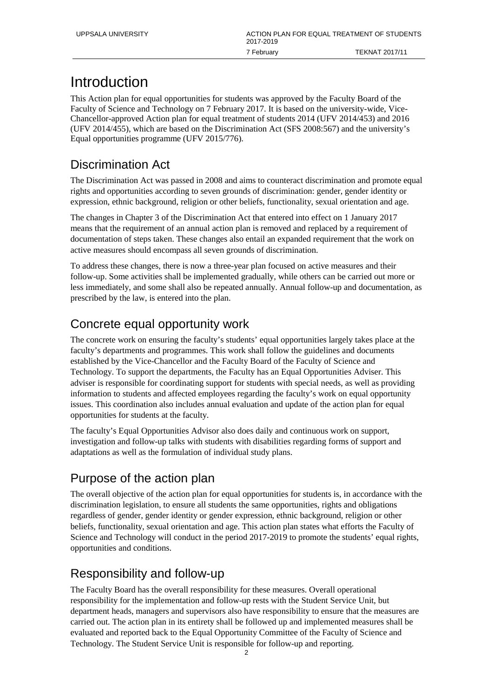## Introduction

This Action plan for equal opportunities for students was approved by the Faculty Board of the Faculty of Science and Technology on 7 February 2017. It is based on the university-wide, Vice-Chancellor-approved Action plan for equal treatment of students 2014 (UFV 2014/453) and 2016 (UFV 2014/455), which are based on the Discrimination Act (SFS 2008:567) and the university's Equal opportunities programme (UFV 2015/776).

## Discrimination Act

The Discrimination Act was passed in 2008 and aims to counteract discrimination and promote equal rights and opportunities according to seven grounds of discrimination: gender, gender identity or expression, ethnic background, religion or other beliefs, functionality, sexual orientation and age.

The changes in Chapter 3 of the Discrimination Act that entered into effect on 1 January 2017 means that the requirement of an annual action plan is removed and replaced by a requirement of documentation of steps taken. These changes also entail an expanded requirement that the work on active measures should encompass all seven grounds of discrimination.

To address these changes, there is now a three-year plan focused on active measures and their follow-up. Some activities shall be implemented gradually, while others can be carried out more or less immediately, and some shall also be repeated annually. Annual follow-up and documentation, as prescribed by the law, is entered into the plan.

## Concrete equal opportunity work

The concrete work on ensuring the faculty's students' equal opportunities largely takes place at the faculty's departments and programmes. This work shall follow the guidelines and documents established by the Vice-Chancellor and the Faculty Board of the Faculty of Science and Technology. To support the departments, the Faculty has an Equal Opportunities Adviser. This adviser is responsible for coordinating support for students with special needs, as well as providing information to students and affected employees regarding the faculty's work on equal opportunity issues. This coordination also includes annual evaluation and update of the action plan for equal opportunities for students at the faculty.

The faculty's Equal Opportunities Advisor also does daily and continuous work on support, investigation and follow-up talks with students with disabilities regarding forms of support and adaptations as well as the formulation of individual study plans.

## Purpose of the action plan

The overall objective of the action plan for equal opportunities for students is, in accordance with the discrimination legislation, to ensure all students the same opportunities, rights and obligations regardless of gender, gender identity or gender expression, ethnic background, religion or other beliefs, functionality, sexual orientation and age. This action plan states what efforts the Faculty of Science and Technology will conduct in the period 2017-2019 to promote the students' equal rights, opportunities and conditions.

### Responsibility and follow-up

The Faculty Board has the overall responsibility for these measures. Overall operational responsibility for the implementation and follow-up rests with the Student Service Unit, but department heads, managers and supervisors also have responsibility to ensure that the measures are carried out. The action plan in its entirety shall be followed up and implemented measures shall be evaluated and reported back to the Equal Opportunity Committee of the Faculty of Science and Technology. The Student Service Unit is responsible for follow-up and reporting.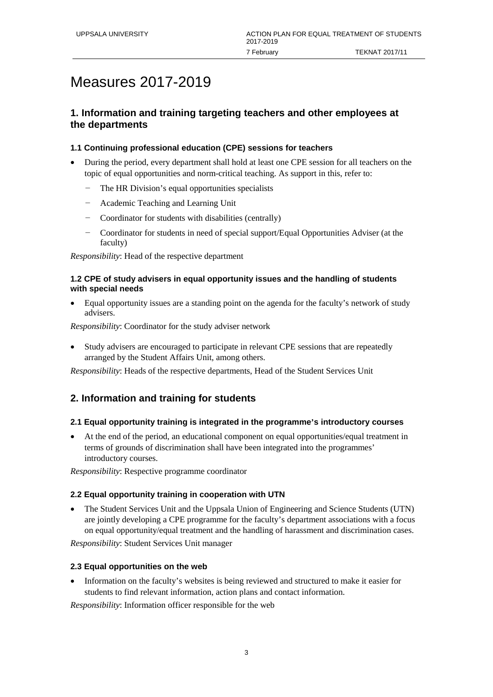## Measures 2017-2019

#### **1. Information and training targeting teachers and other employees at the departments**

#### **1.1 Continuing professional education (CPE) sessions for teachers**

- During the period, every department shall hold at least one CPE session for all teachers on the topic of equal opportunities and norm-critical teaching. As support in this, refer to:
	- The HR Division's equal opportunities specialists
	- − Academic Teaching and Learning Unit
	- − Coordinator for students with disabilities (centrally)
	- − Coordinator for students in need of special support/Equal Opportunities Adviser (at the faculty)

*Responsibility*: Head of the respective department

#### **1.2 CPE of study advisers in equal opportunity issues and the handling of students with special needs**

• Equal opportunity issues are a standing point on the agenda for the faculty's network of study advisers.

*Responsibility*: Coordinator for the study adviser network

• Study advisers are encouraged to participate in relevant CPE sessions that are repeatedly arranged by the Student Affairs Unit, among others.

*Responsibility*: Heads of the respective departments, Head of the Student Services Unit

#### **2. Information and training for students**

#### **2.1 Equal opportunity training is integrated in the programme's introductory courses**

• At the end of the period, an educational component on equal opportunities/equal treatment in terms of grounds of discrimination shall have been integrated into the programmes' introductory courses.

*Responsibility*: Respective programme coordinator

#### **2.2 Equal opportunity training in cooperation with UTN**

• The Student Services Unit and the Uppsala Union of Engineering and Science Students (UTN) are jointly developing a CPE programme for the faculty's department associations with a focus on equal opportunity/equal treatment and the handling of harassment and discrimination cases.

*Responsibility*: Student Services Unit manager

#### **2.3 Equal opportunities on the web**

• Information on the faculty's websites is being reviewed and structured to make it easier for students to find relevant information, action plans and contact information.

*Responsibility*: Information officer responsible for the web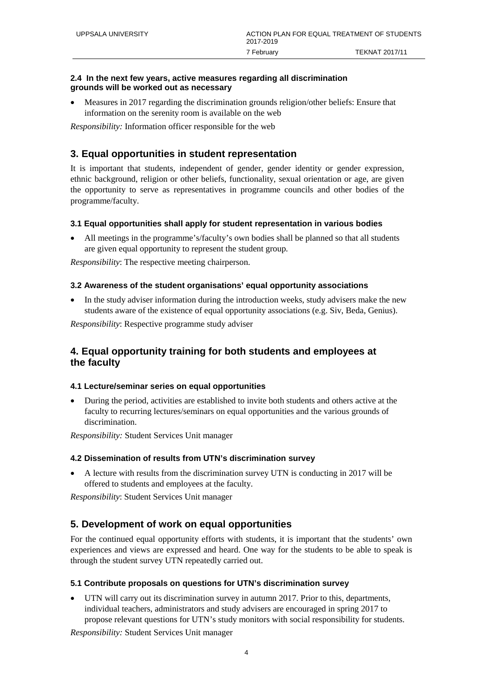#### **2.4 In the next few years, active measures regarding all discrimination grounds will be worked out as necessary**

• Measures in 2017 regarding the discrimination grounds religion/other beliefs: Ensure that information on the serenity room is available on the web

*Responsibility:* Information officer responsible for the web

#### **3. Equal opportunities in student representation**

It is important that students, independent of gender, gender identity or gender expression, ethnic background, religion or other beliefs, functionality, sexual orientation or age, are given the opportunity to serve as representatives in programme councils and other bodies of the programme/faculty.

#### **3.1 Equal opportunities shall apply for student representation in various bodies**

• All meetings in the programme's/faculty's own bodies shall be planned so that all students are given equal opportunity to represent the student group.

*Responsibility*: The respective meeting chairperson.

#### **3.2 Awareness of the student organisations' equal opportunity associations**

In the study adviser information during the introduction weeks, study advisers make the new students aware of the existence of equal opportunity associations (e.g. Siv, Beda, Genius).

*Responsibility*: Respective programme study adviser

#### **4. Equal opportunity training for both students and employees at the faculty**

#### **4.1 Lecture/seminar series on equal opportunities**

• During the period, activities are established to invite both students and others active at the faculty to recurring lectures/seminars on equal opportunities and the various grounds of discrimination.

*Responsibility:* Student Services Unit manager

#### **4.2 Dissemination of results from UTN's discrimination survey**

• A lecture with results from the discrimination survey UTN is conducting in 2017 will be offered to students and employees at the faculty.

*Responsibility*: Student Services Unit manager

#### **5. Development of work on equal opportunities**

For the continued equal opportunity efforts with students, it is important that the students' own experiences and views are expressed and heard. One way for the students to be able to speak is through the student survey UTN repeatedly carried out.

#### **5.1 Contribute proposals on questions for UTN's discrimination survey**

• UTN will carry out its discrimination survey in autumn 2017. Prior to this, departments, individual teachers, administrators and study advisers are encouraged in spring 2017 to propose relevant questions for UTN's study monitors with social responsibility for students.

*Responsibility:* Student Services Unit manager